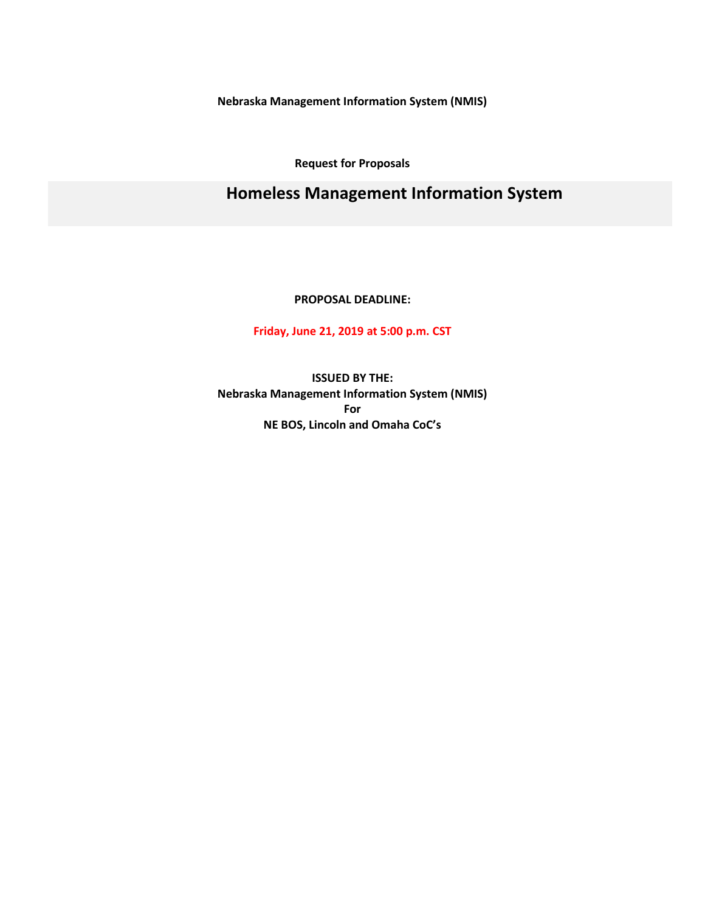**Nebraska Management Information System (NMIS)**

**Request for Proposals**

# **Homeless Management Information System**

**PROPOSAL DEADLINE:**

**Friday, June 21, 2019 at 5:00 p.m. CST**

**ISSUED BY THE: Nebraska Management Information System (NMIS) For NE BOS, Lincoln and Omaha CoC's**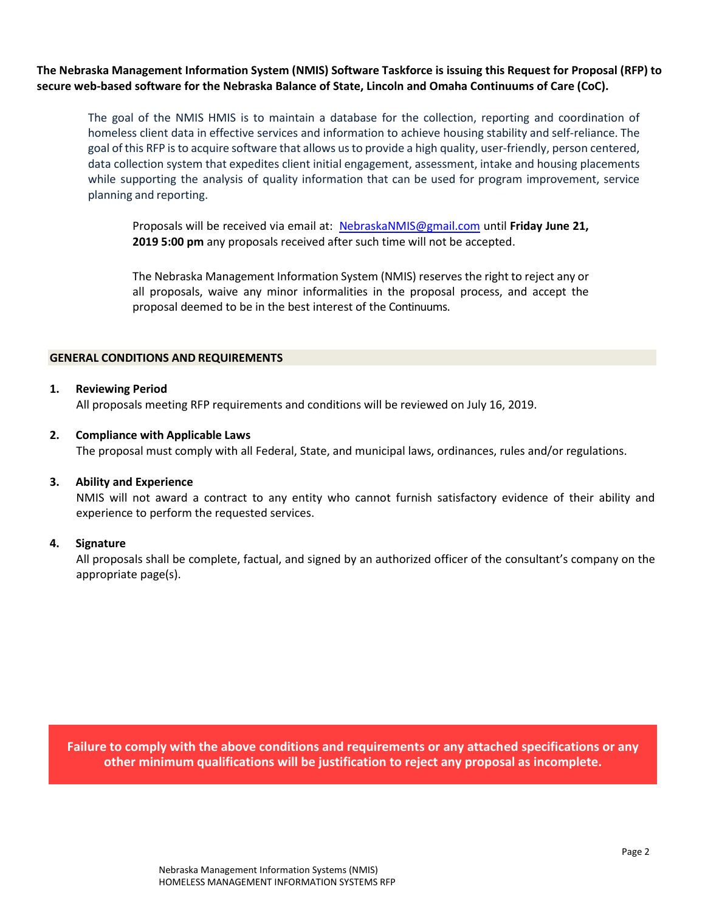**The Nebraska Management Information System (NMIS) Software Taskforce is issuing this Request for Proposal (RFP) to secure web-based software for the Nebraska Balance of State, Lincoln and Omaha Continuums of Care (CoC).** 

The goal of the NMIS HMIS is to maintain a database for the collection, reporting and coordination of homeless client data in effective services and information to achieve housing stability and self-reliance. The goal of this RFP is to acquire software that allows us to provide a high quality, user-friendly, person centered, data collection system that expedites client initial engagement, assessment, intake and housing placements while supporting the analysis of quality information that can be used for program improvement, service planning and reporting.

Proposals will be received via email at: [NebraskaNMIS@gmail.com](mailto:NebraskaNMIS@gmail.com) until **Friday June 21, 2019 5:00 pm** any proposals received after such time will not be accepted.

The Nebraska Management Information System (NMIS) reserves the right to reject any or all proposals, waive any minor informalities in the proposal process, and accept the proposal deemed to be in the best interest of the Continuums.

#### **GENERAL CONDITIONS AND REQUIREMENTS**

#### **1. Reviewing Period**

All proposals meeting RFP requirements and conditions will be reviewed on July 16, 2019.

#### **2. Compliance with Applicable Laws**

The proposal must comply with all Federal, State, and municipal laws, ordinances, rules and/or regulations.

### **3. Ability and Experience**

NMIS will not award a contract to any entity who cannot furnish satisfactory evidence of their ability and experience to perform the requested services.

#### **4. Signature**

All proposals shall be complete, factual, and signed by an authorized officer of the consultant's company on the appropriate page(s).

**Failure to comply with the above conditions and requirements or any attached specifications or any other minimum qualifications will be justification to reject any proposal as incomplete.**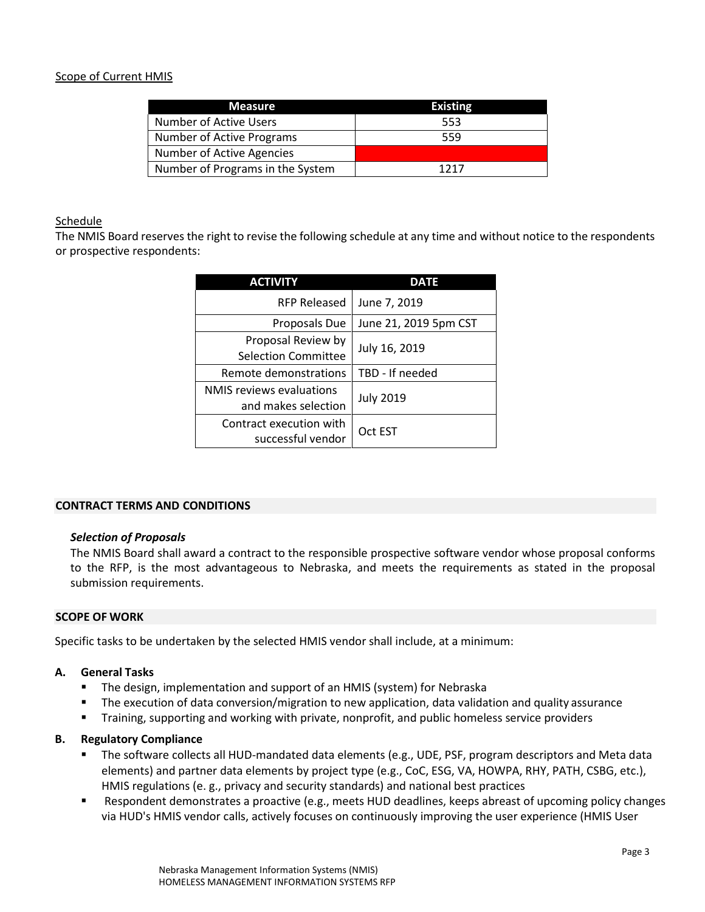# Scope of Current HMIS

| <b>Measure</b>                   | <b>Existing</b> |
|----------------------------------|-----------------|
| Number of Active Users           | 553             |
| Number of Active Programs        | 559             |
| <b>Number of Active Agencies</b> |                 |
| Number of Programs in the System | 1717            |

### Schedule

The NMIS Board reserves the right to revise the following schedule at any time and without notice to the respondents or prospective respondents:

| <b>ACTIVITY</b>                                        | <b>DATE</b>           |
|--------------------------------------------------------|-----------------------|
| <b>RFP Released</b>                                    | June 7, 2019          |
| Proposals Due                                          | June 21, 2019 5pm CST |
| Proposal Review by<br><b>Selection Committee</b>       | July 16, 2019         |
| Remote demonstrations                                  | TBD - If needed       |
| <b>NMIS</b> reviews evaluations<br>and makes selection | <b>July 2019</b>      |
| Contract execution with<br>successful vendor           | Oct EST               |

### **CONTRACT TERMS AND CONDITIONS**

#### *Selection of Proposals*

The NMIS Board shall award a contract to the responsible prospective software vendor whose proposal conforms to the RFP, is the most advantageous to Nebraska, and meets the requirements as stated in the proposal submission requirements.

#### **SCOPE OF WORK**

Specific tasks to be undertaken by the selected HMIS vendor shall include, at a minimum:

### **A. General Tasks**

- The design, implementation and support of an HMIS (system) for Nebraska
- **The execution of data conversion/migration to new application, data validation and quality assurance**
- Training, supporting and working with private, nonprofit, and public homeless service providers

### **B. Regulatory Compliance**

- The software collects all HUD-mandated data elements (e.g., UDE, PSF, program descriptors and Meta data elements) and partner data elements by project type (e.g., CoC, ESG, VA, HOWPA, RHY, PATH, CSBG, etc.), HMIS regulations (e. g., privacy and security standards) and national best practices
- Respondent demonstrates a proactive (e.g., meets HUD deadlines, keeps abreast of upcoming policy changes via HUD's HMIS vendor calls, actively focuses on continuously improving the user experience (HMIS User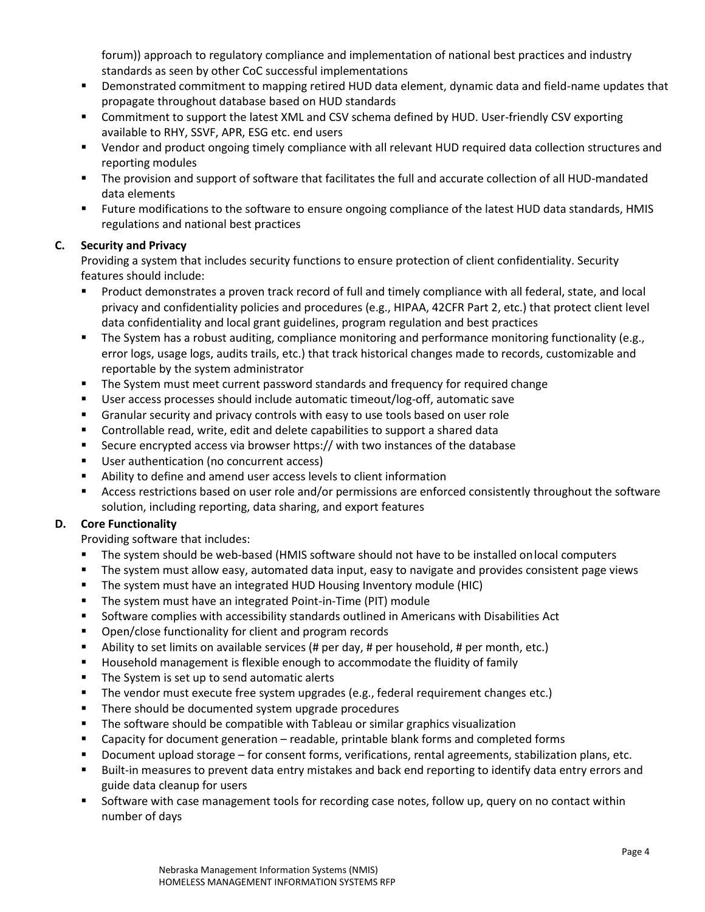forum)) approach to regulatory compliance and implementation of national best practices and industry standards as seen by other CoC successful implementations

- Demonstrated commitment to mapping retired HUD data element, dynamic data and field-name updates that propagate throughout database based on HUD standards
- Commitment to support the latest XML and CSV schema defined by HUD. User-friendly CSV exporting available to RHY, SSVF, APR, ESG etc. end users
- Vendor and product ongoing timely compliance with all relevant HUD required data collection structures and reporting modules
- The provision and support of software that facilitates the full and accurate collection of all HUD-mandated data elements
- Future modifications to the software to ensure ongoing compliance of the latest HUD data standards, HMIS regulations and national best practices

# **C. Security and Privacy**

Providing a system that includes security functions to ensure protection of client confidentiality. Security features should include:

- Product demonstrates a proven track record of full and timely compliance with all federal, state, and local privacy and confidentiality policies and procedures (e.g., HIPAA, 42CFR Part 2, etc.) that protect client level data confidentiality and local grant guidelines, program regulation and best practices
- The System has a robust auditing, compliance monitoring and performance monitoring functionality (e.g., error logs, usage logs, audits trails, etc.) that track historical changes made to records, customizable and reportable by the system administrator
- The System must meet current password standards and frequency for required change
- User access processes should include automatic timeout/log-off, automatic save
- Granular security and privacy controls with easy to use tools based on user role
- Controllable read, write, edit and delete capabilities to support a shared data
- Secure encrypted access via browser https:// with two instances of the database
- User authentication (no concurrent access)
- Ability to define and amend user access levels to client information
- Access restrictions based on user role and/or permissions are enforced consistently throughout the software solution, including reporting, data sharing, and export features

# **D. Core Functionality**

Providing software that includes:

- The system should be web-based (HMIS software should not have to be installed onlocal computers
- The system must allow easy, automated data input, easy to navigate and provides consistent page views
- The system must have an integrated HUD Housing Inventory module (HIC)
- **The system must have an integrated Point-in-Time (PIT) module**
- Software complies with accessibility standards outlined in Americans with Disabilities Act
- Open/close functionality for client and program records
- Ability to set limits on available services (# per day, # per household, # per month, etc.)
- Household management is flexible enough to accommodate the fluidity of family
- The System is set up to send automatic alerts
- The vendor must execute free system upgrades (e.g., federal requirement changes etc.)
- **There should be documented system upgrade procedures**
- The software should be compatible with Tableau or similar graphics visualization
- Capacity for document generation readable, printable blank forms and completed forms
- Document upload storage for consent forms, verifications, rental agreements, stabilization plans, etc.
- Built-in measures to prevent data entry mistakes and back end reporting to identify data entry errors and guide data cleanup for users
- Software with case management tools for recording case notes, follow up, query on no contact within number of days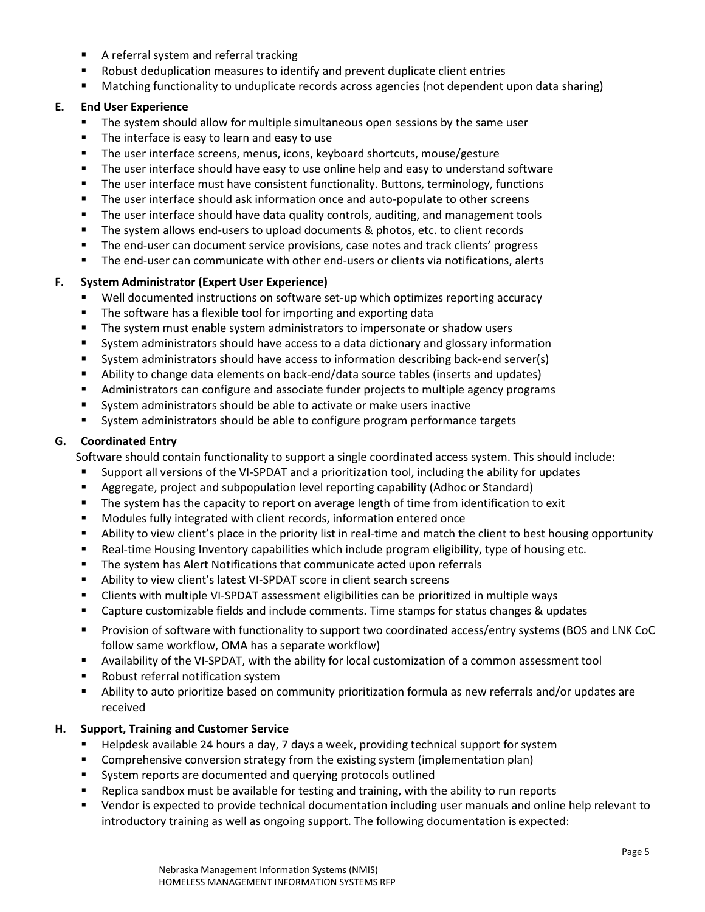- A referral system and referral tracking
- Robust deduplication measures to identify and prevent duplicate client entries
- Matching functionality to unduplicate records across agencies (not dependent upon data sharing)

## **E. End User Experience**

- The system should allow for multiple simultaneous open sessions by the same user
- The interface is easy to learn and easy to use
- The user interface screens, menus, icons, keyboard shortcuts, mouse/gesture
- **The user interface should have easy to use online help and easy to understand software**
- **The user interface must have consistent functionality. Buttons, terminology, functions**
- **The user interface should ask information once and auto-populate to other screens**
- The user interface should have data quality controls, auditing, and management tools
- The system allows end-users to upload documents & photos, etc. to client records
- The end-user can document service provisions, case notes and track clients' progress
- The end-user can communicate with other end-users or clients via notifications, alerts

# **F. System Administrator (Expert User Experience)**

- Well documented instructions on software set-up which optimizes reporting accuracy
- **The software has a flexible tool for importing and exporting data**
- **The system must enable system administrators to impersonate or shadow users**
- System administrators should have access to a data dictionary and glossary information
- System administrators should have access to information describing back-end server(s)
- Ability to change data elements on back-end/data source tables (inserts and updates)
- Administrators can configure and associate funder projects to multiple agency programs
- System administrators should be able to activate or make users inactive
- System administrators should be able to configure program performance targets

# **G. Coordinated Entry**

Software should contain functionality to support a single coordinated access system. This should include:

- Support all versions of the VI-SPDAT and a prioritization tool, including the ability for updates
- Aggregate, project and subpopulation level reporting capability (Adhoc or Standard)
- The system has the capacity to report on average length of time from identification to exit
- Modules fully integrated with client records, information entered once
- Ability to view client's place in the priority list in real-time and match the client to best housing opportunity
- Real-time Housing Inventory capabilities which include program eligibility, type of housing etc.
- **The system has Alert Notifications that communicate acted upon referrals**
- Ability to view client's latest VI-SPDAT score in client search screens
- Clients with multiple VI-SPDAT assessment eligibilities can be prioritized in multiple ways
- Capture customizable fields and include comments. Time stamps for status changes & updates
- Provision of software with functionality to support two coordinated access/entry systems (BOS and LNK CoC follow same workflow, OMA has a separate workflow)
- Availability of the VI-SPDAT, with the ability for local customization of a common assessment tool
- Robust referral notification system
- Ability to auto prioritize based on community prioritization formula as new referrals and/or updates are received

# **H. Support, Training and Customer Service**

- Helpdesk available 24 hours a day, 7 days a week, providing technical support for system
- Comprehensive conversion strategy from the existing system (implementation plan)
- System reports are documented and querying protocols outlined
- Replica sandbox must be available for testing and training, with the ability to run reports
- Vendor is expected to provide technical documentation including user manuals and online help relevant to introductory training as well as ongoing support. The following documentation is expected: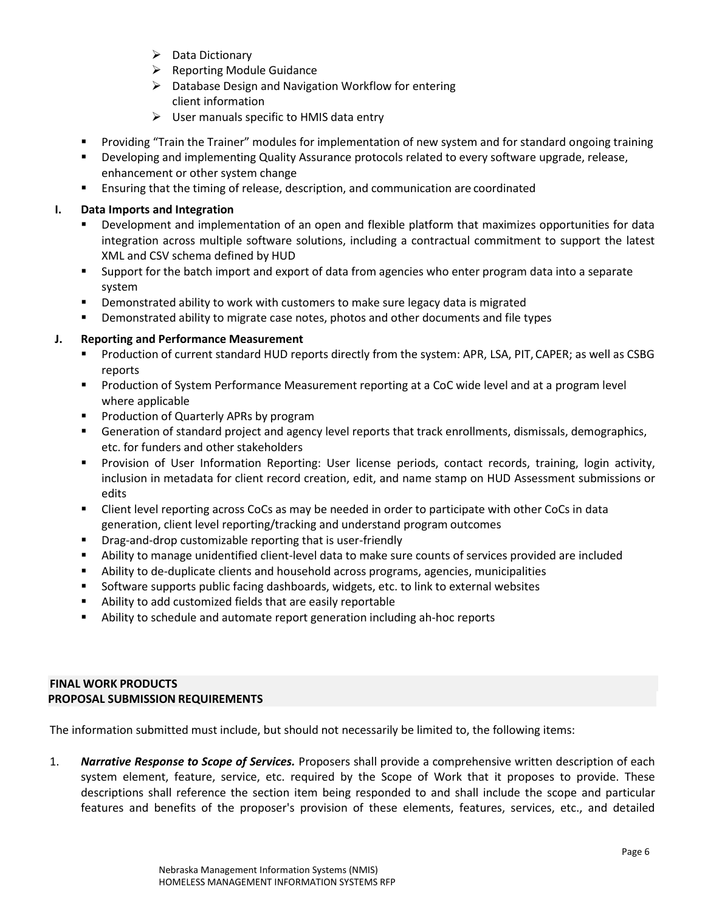- $\triangleright$  Data Dictionary
- $\triangleright$  Reporting Module Guidance
- $\triangleright$  Database Design and Navigation Workflow for entering client information
- $\triangleright$  User manuals specific to HMIS data entry
- Providing "Train the Trainer" modules for implementation of new system and for standard ongoing training
- Developing and implementing Quality Assurance protocols related to every software upgrade, release, enhancement or other system change
- Ensuring that the timing of release, description, and communication are coordinated

# **I. Data Imports and Integration**

- Development and implementation of an open and flexible platform that maximizes opportunities for data integration across multiple software solutions, including a contractual commitment to support the latest XML and CSV schema defined by HUD
- Support for the batch import and export of data from agencies who enter program data into a separate system
- **•** Demonstrated ability to work with customers to make sure legacy data is migrated
- **•** Demonstrated ability to migrate case notes, photos and other documents and file types

# **J. Reporting and Performance Measurement**

- Production of current standard HUD reports directly from the system: APR, LSA, PIT, CAPER; as well as CSBG reports
- Production of System Performance Measurement reporting at a CoC wide level and at a program level where applicable
- **Production of Quarterly APRs by program**
- Generation of standard project and agency level reports that track enrollments, dismissals, demographics, etc. for funders and other stakeholders
- Provision of User Information Reporting: User license periods, contact records, training, login activity, inclusion in metadata for client record creation, edit, and name stamp on HUD Assessment submissions or edits
- Client level reporting across CoCs as may be needed in order to participate with other CoCs in data generation, client level reporting/tracking and understand program outcomes
- Drag-and-drop customizable reporting that is user-friendly
- Ability to manage unidentified client-level data to make sure counts of services provided are included
- Ability to de-duplicate clients and household across programs, agencies, municipalities
- Software supports public facing dashboards, widgets, etc. to link to external websites
- Ability to add customized fields that are easily reportable
- Ability to schedule and automate report generation including ah-hoc reports

## **FINAL WORK PRODUCTS PROPOSAL SUBMISSION REQUIREMENTS**

The information submitted must include, but should not necessarily be limited to, the following items:

1. *Narrative Response to Scope of Services.* Proposers shall provide a comprehensive written description of each system element, feature, service, etc. required by the Scope of Work that it proposes to provide. These descriptions shall reference the section item being responded to and shall include the scope and particular features and benefits of the proposer's provision of these elements, features, services, etc., and detailed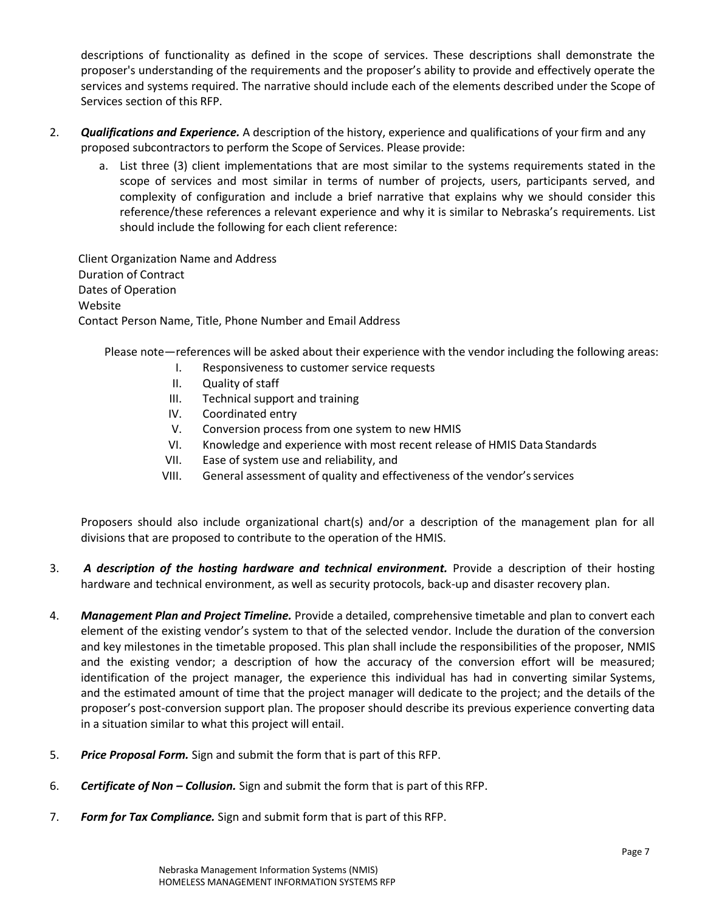descriptions of functionality as defined in the scope of services. These descriptions shall demonstrate the proposer's understanding of the requirements and the proposer's ability to provide and effectively operate the services and systems required. The narrative should include each of the elements described under the Scope of Services section of this RFP.

- 2. *Qualifications and Experience.* A description of the history, experience and qualifications of your firm and any proposed subcontractors to perform the Scope of Services. Please provide:
	- a. List three (3) client implementations that are most similar to the systems requirements stated in the scope of services and most similar in terms of number of projects, users, participants served, and complexity of configuration and include a brief narrative that explains why we should consider this reference/these references a relevant experience and why it is similar to Nebraska's requirements. List should include the following for each client reference:

Client Organization Name and Address Duration of Contract Dates of Operation Website Contact Person Name, Title, Phone Number and Email Address

Please note—references will be asked about their experience with the vendor including the following areas:

- I. Responsiveness to customer service requests
- II. Quality of staff
- III. Technical support and training
- IV. Coordinated entry
- V. Conversion process from one system to new HMIS
- VI. Knowledge and experience with most recent release of HMIS Data Standards
- VII. Ease of system use and reliability, and
- VIII. General assessment of quality and effectiveness of the vendor'sservices

Proposers should also include organizational chart(s) and/or a description of the management plan for all divisions that are proposed to contribute to the operation of the HMIS.

- 3. **A description of the hosting hardware and technical environment.** Provide a description of their hosting hardware and technical environment, as well as security protocols, back-up and disaster recovery plan.
- 4. *Management Plan and Project Timeline.* Provide a detailed, comprehensive timetable and plan to convert each element of the existing vendor's system to that of the selected vendor. Include the duration of the conversion and key milestones in the timetable proposed. This plan shall include the responsibilities of the proposer, NMIS and the existing vendor; a description of how the accuracy of the conversion effort will be measured; identification of the project manager, the experience this individual has had in converting similar Systems, and the estimated amount of time that the project manager will dedicate to the project; and the details of the proposer's post-conversion support plan. The proposer should describe its previous experience converting data in a situation similar to what this project will entail.
- 5. *Price Proposal Form.* Sign and submit the form that is part of this RFP.
- 6. *Certificate of Non – Collusion.* Sign and submit the form that is part of this RFP.
- 7. *Form for Tax Compliance.* Sign and submit form that is part of this RFP.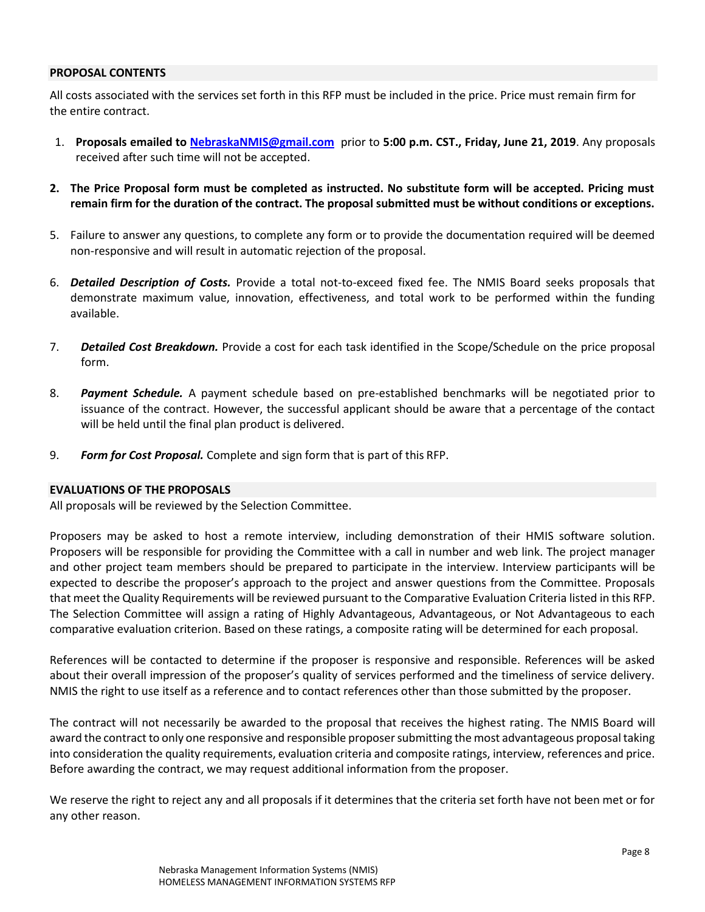### **PROPOSAL CONTENTS**

All costs associated with the services set forth in this RFP must be included in the price. Price must remain firm for the entire contract.

- 1. **Proposals emailed to [NebraskaNMIS@gmail.com](mailto:NebraskaNMIS@gmail.com)** prior to **5:00 p.m. CST., Friday, June 21, 2019**. Any proposals received after such time will not be accepted.
- **2. The Price Proposal form must be completed as instructed. No substitute form will be accepted. Pricing must remain firm for the duration of the contract. The proposal submitted must be without conditions or exceptions.**
- 5. Failure to answer any questions, to complete any form or to provide the documentation required will be deemed non-responsive and will result in automatic rejection of the proposal.
- 6. *Detailed Description of Costs.* Provide a total not-to-exceed fixed fee. The NMIS Board seeks proposals that demonstrate maximum value, innovation, effectiveness, and total work to be performed within the funding available.
- 7. *Detailed Cost Breakdown.* Provide a cost for each task identified in the Scope/Schedule on the price proposal form.
- 8. *Payment Schedule.* A payment schedule based on pre-established benchmarks will be negotiated prior to issuance of the contract. However, the successful applicant should be aware that a percentage of the contact will be held until the final plan product is delivered.
- 9. *Form for Cost Proposal.* Complete and sign form that is part of this RFP.

### **EVALUATIONS OF THE PROPOSALS**

All proposals will be reviewed by the Selection Committee.

Proposers may be asked to host a remote interview, including demonstration of their HMIS software solution. Proposers will be responsible for providing the Committee with a call in number and web link. The project manager and other project team members should be prepared to participate in the interview. Interview participants will be expected to describe the proposer's approach to the project and answer questions from the Committee. Proposals that meet the Quality Requirements will be reviewed pursuant to the Comparative Evaluation Criteria listed in this RFP. The Selection Committee will assign a rating of Highly Advantageous, Advantageous, or Not Advantageous to each comparative evaluation criterion. Based on these ratings, a composite rating will be determined for each proposal.

References will be contacted to determine if the proposer is responsive and responsible. References will be asked about their overall impression of the proposer's quality of services performed and the timeliness of service delivery. NMIS the right to use itself as a reference and to contact references other than those submitted by the proposer.

The contract will not necessarily be awarded to the proposal that receives the highest rating. The NMIS Board will award the contract to only one responsive and responsible proposer submitting the most advantageous proposal taking into consideration the quality requirements, evaluation criteria and composite ratings, interview, references and price. Before awarding the contract, we may request additional information from the proposer.

We reserve the right to reject any and all proposals if it determines that the criteria set forth have not been met or for any other reason.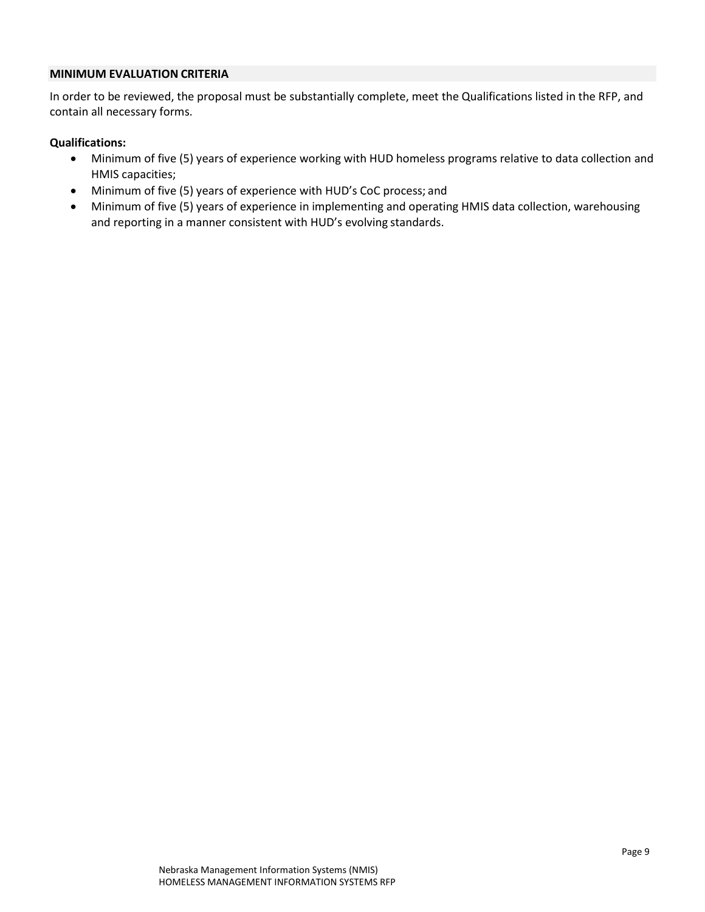# **MINIMUM EVALUATION CRITERIA**

In order to be reviewed, the proposal must be substantially complete, meet the Qualifications listed in the RFP, and contain all necessary forms.

### **Qualifications:**

- Minimum of five (5) years of experience working with HUD homeless programs relative to data collection and HMIS capacities;
- Minimum of five (5) years of experience with HUD's CoC process; and
- Minimum of five (5) years of experience in implementing and operating HMIS data collection, warehousing and reporting in a manner consistent with HUD's evolving standards.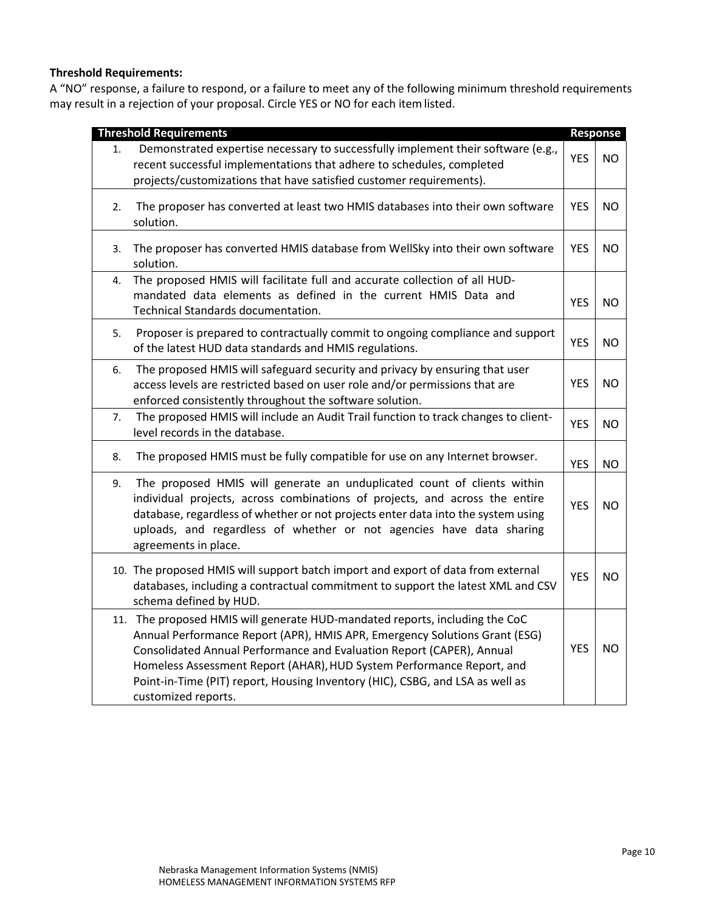# **Threshold Requirements:**

A "NO" response, a failure to respond, or a failure to meet any of the following minimum threshold requirements may result in a rejection of your proposal. Circle YES or NO for each itemlisted.

|    | <b>Threshold Requirements</b>                                                                                                                                                                                                                                                                                                                                                                                       |            | Response  |
|----|---------------------------------------------------------------------------------------------------------------------------------------------------------------------------------------------------------------------------------------------------------------------------------------------------------------------------------------------------------------------------------------------------------------------|------------|-----------|
| 1. | Demonstrated expertise necessary to successfully implement their software (e.g.,<br>recent successful implementations that adhere to schedules, completed<br>projects/customizations that have satisfied customer requirements).                                                                                                                                                                                    | <b>YES</b> | NO.       |
| 2. | The proposer has converted at least two HMIS databases into their own software<br>solution.                                                                                                                                                                                                                                                                                                                         | <b>YES</b> | <b>NO</b> |
| 3. | The proposer has converted HMIS database from WellSky into their own software<br>solution.                                                                                                                                                                                                                                                                                                                          | <b>YES</b> | <b>NO</b> |
| 4. | The proposed HMIS will facilitate full and accurate collection of all HUD-<br>mandated data elements as defined in the current HMIS Data and<br>Technical Standards documentation.                                                                                                                                                                                                                                  | <b>YES</b> | <b>NO</b> |
| 5. | Proposer is prepared to contractually commit to ongoing compliance and support<br>of the latest HUD data standards and HMIS regulations.                                                                                                                                                                                                                                                                            | <b>YES</b> | NO.       |
| 6. | The proposed HMIS will safeguard security and privacy by ensuring that user<br>access levels are restricted based on user role and/or permissions that are<br>enforced consistently throughout the software solution.                                                                                                                                                                                               | <b>YES</b> | <b>NO</b> |
| 7. | The proposed HMIS will include an Audit Trail function to track changes to client-<br>level records in the database.                                                                                                                                                                                                                                                                                                | <b>YES</b> | NO.       |
| 8. | The proposed HMIS must be fully compatible for use on any Internet browser.                                                                                                                                                                                                                                                                                                                                         | <b>YES</b> | <b>NO</b> |
| 9. | The proposed HMIS will generate an unduplicated count of clients within<br>individual projects, across combinations of projects, and across the entire<br>database, regardless of whether or not projects enter data into the system using<br>uploads, and regardless of whether or not agencies have data sharing<br>agreements in place.                                                                          | <b>YES</b> | <b>NO</b> |
|    | 10. The proposed HMIS will support batch import and export of data from external<br>databases, including a contractual commitment to support the latest XML and CSV<br>schema defined by HUD.                                                                                                                                                                                                                       | <b>YES</b> | <b>NO</b> |
|    | 11. The proposed HMIS will generate HUD-mandated reports, including the CoC<br>Annual Performance Report (APR), HMIS APR, Emergency Solutions Grant (ESG)<br>Consolidated Annual Performance and Evaluation Report (CAPER), Annual<br>Homeless Assessment Report (AHAR), HUD System Performance Report, and<br>Point-in-Time (PIT) report, Housing Inventory (HIC), CSBG, and LSA as well as<br>customized reports. | <b>YES</b> | <b>NO</b> |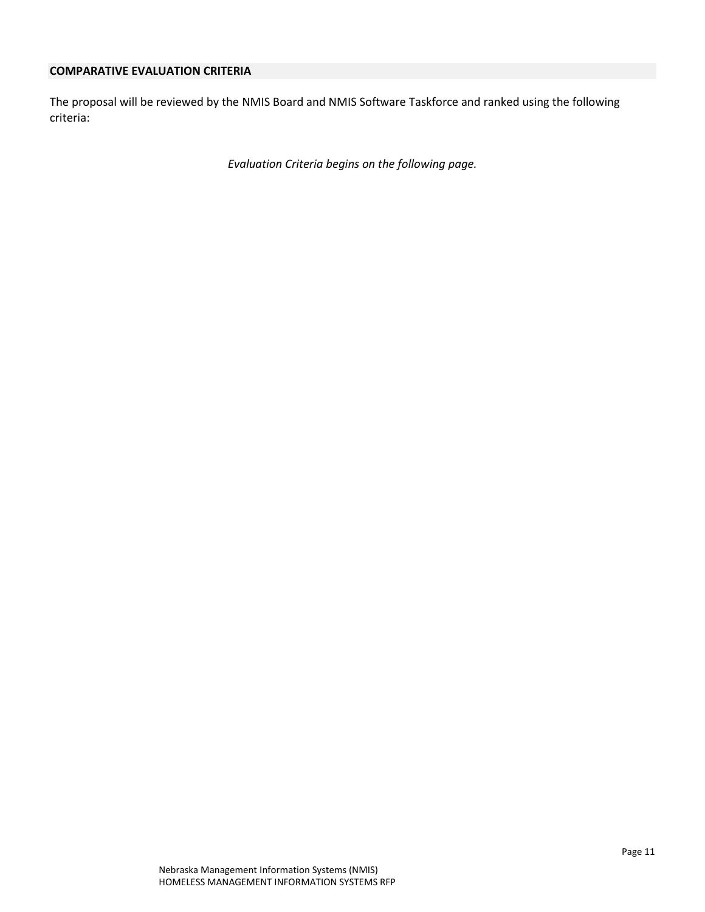## **COMPARATIVE EVALUATION CRITERIA**

The proposal will be reviewed by the NMIS Board and NMIS Software Taskforce and ranked using the following criteria:

*Evaluation Criteria begins on the following page.*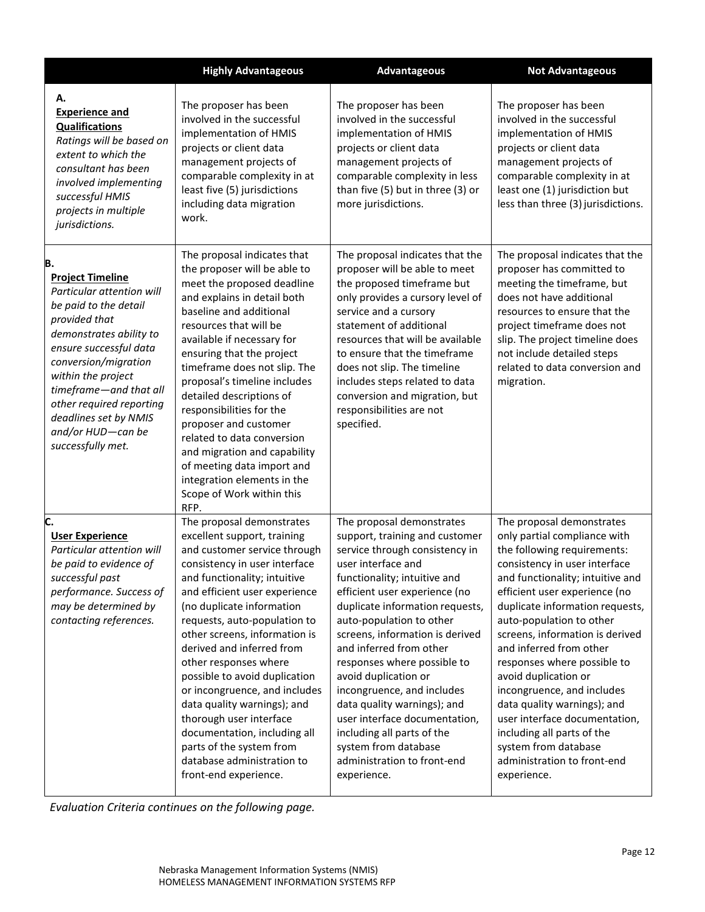|                                                                                                                                                                                                                                                                                                                                  | <b>Highly Advantageous</b>                                                                                                                                                                                                                                                                                                                                                                                                                                                                                                                                                                    | <b>Advantageous</b>                                                                                                                                                                                                                                                                                                                                                                                                                                                                                                                                                        | <b>Not Advantageous</b>                                                                                                                                                                                                                                                                                                                                                                                                                                                                                                                                                              |
|----------------------------------------------------------------------------------------------------------------------------------------------------------------------------------------------------------------------------------------------------------------------------------------------------------------------------------|-----------------------------------------------------------------------------------------------------------------------------------------------------------------------------------------------------------------------------------------------------------------------------------------------------------------------------------------------------------------------------------------------------------------------------------------------------------------------------------------------------------------------------------------------------------------------------------------------|----------------------------------------------------------------------------------------------------------------------------------------------------------------------------------------------------------------------------------------------------------------------------------------------------------------------------------------------------------------------------------------------------------------------------------------------------------------------------------------------------------------------------------------------------------------------------|--------------------------------------------------------------------------------------------------------------------------------------------------------------------------------------------------------------------------------------------------------------------------------------------------------------------------------------------------------------------------------------------------------------------------------------------------------------------------------------------------------------------------------------------------------------------------------------|
| А.<br><b>Experience and</b><br><b>Qualifications</b><br>Ratings will be based on<br>extent to which the<br>consultant has been<br>involved implementing<br>successful HMIS<br>projects in multiple<br>jurisdictions.                                                                                                             | The proposer has been<br>involved in the successful<br>implementation of HMIS<br>projects or client data<br>management projects of<br>comparable complexity in at<br>least five (5) jurisdictions<br>including data migration<br>work.                                                                                                                                                                                                                                                                                                                                                        | The proposer has been<br>involved in the successful<br>implementation of HMIS<br>projects or client data<br>management projects of<br>comparable complexity in less<br>than five (5) but in three (3) or<br>more jurisdictions.                                                                                                                                                                                                                                                                                                                                            | The proposer has been<br>involved in the successful<br>implementation of HMIS<br>projects or client data<br>management projects of<br>comparable complexity in at<br>least one (1) jurisdiction but<br>less than three (3) jurisdictions.                                                                                                                                                                                                                                                                                                                                            |
| в.<br><b>Project Timeline</b><br>Particular attention will<br>be paid to the detail<br>provided that<br>demonstrates ability to<br>ensure successful data<br>conversion/migration<br>within the project<br>timeframe-and that all<br>other required reporting<br>deadlines set by NMIS<br>and/or HUD-can be<br>successfully met. | The proposal indicates that<br>the proposer will be able to<br>meet the proposed deadline<br>and explains in detail both<br>baseline and additional<br>resources that will be<br>available if necessary for<br>ensuring that the project<br>timeframe does not slip. The<br>proposal's timeline includes<br>detailed descriptions of<br>responsibilities for the<br>proposer and customer<br>related to data conversion<br>and migration and capability<br>of meeting data import and<br>integration elements in the<br>Scope of Work within this<br>RFP.                                     | The proposal indicates that the<br>proposer will be able to meet<br>the proposed timeframe but<br>only provides a cursory level of<br>service and a cursory<br>statement of additional<br>resources that will be available<br>to ensure that the timeframe<br>does not slip. The timeline<br>includes steps related to data<br>conversion and migration, but<br>responsibilities are not<br>specified.                                                                                                                                                                     | The proposal indicates that the<br>proposer has committed to<br>meeting the timeframe, but<br>does not have additional<br>resources to ensure that the<br>project timeframe does not<br>slip. The project timeline does<br>not include detailed steps<br>related to data conversion and<br>migration.                                                                                                                                                                                                                                                                                |
| C.<br><b>User Experience</b><br>Particular attention will<br>be paid to evidence of<br>successful past<br>performance. Success of<br>may be determined by<br>contacting references.                                                                                                                                              | The proposal demonstrates<br>excellent support, training<br>and customer service through<br>consistency in user interface<br>and functionality; intuitive<br>and efficient user experience<br>(no duplicate information<br>requests, auto-population to<br>other screens, information is<br>derived and inferred from<br>other responses where<br>possible to avoid duplication<br>or incongruence, and includes<br>data quality warnings); and<br>thorough user interface<br>documentation, including all<br>parts of the system from<br>database administration to<br>front-end experience. | The proposal demonstrates<br>support, training and customer<br>service through consistency in<br>user interface and<br>functionality; intuitive and<br>efficient user experience (no<br>duplicate information requests,<br>auto-population to other<br>screens, information is derived<br>and inferred from other<br>responses where possible to<br>avoid duplication or<br>incongruence, and includes<br>data quality warnings); and<br>user interface documentation,<br>including all parts of the<br>system from database<br>administration to front-end<br>experience. | The proposal demonstrates<br>only partial compliance with<br>the following requirements:<br>consistency in user interface<br>and functionality; intuitive and<br>efficient user experience (no<br>duplicate information requests,<br>auto-population to other<br>screens, information is derived<br>and inferred from other<br>responses where possible to<br>avoid duplication or<br>incongruence, and includes<br>data quality warnings); and<br>user interface documentation,<br>including all parts of the<br>system from database<br>administration to front-end<br>experience. |

*Evaluation Criteria continues on the following page.*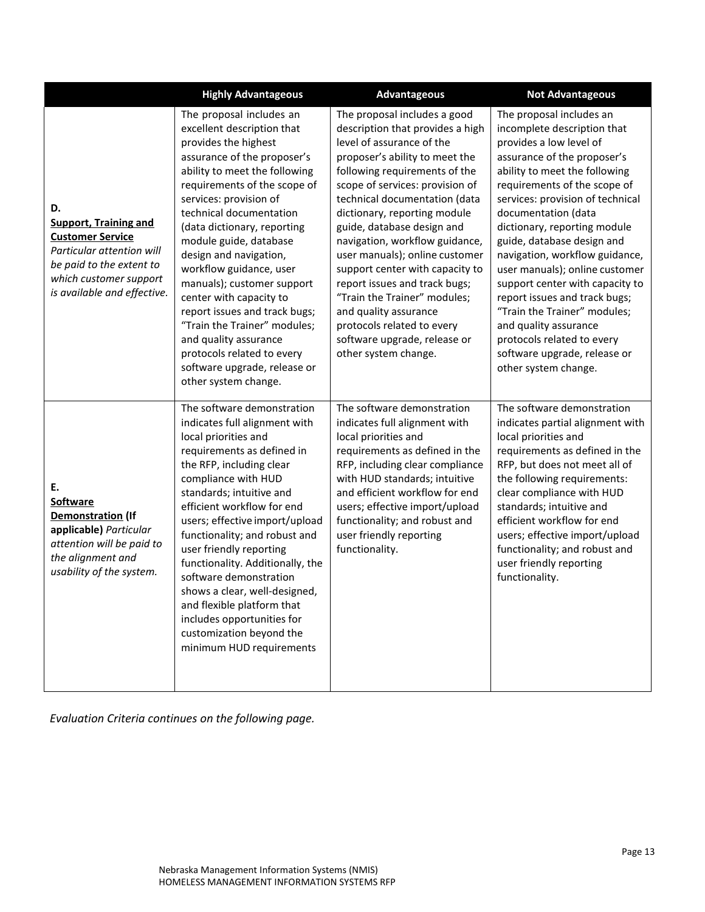|                                                                                                                                                                                 | <b>Highly Advantageous</b>                                                                                                                                                                                                                                                                                                                                                                                                                                                                                                                                                                 | <b>Advantageous</b>                                                                                                                                                                                                                                                                                                                                                                                                                                                                                                                                                                       | <b>Not Advantageous</b>                                                                                                                                                                                                                                                                                                                                                                                                                                                                                                                                                                            |
|---------------------------------------------------------------------------------------------------------------------------------------------------------------------------------|--------------------------------------------------------------------------------------------------------------------------------------------------------------------------------------------------------------------------------------------------------------------------------------------------------------------------------------------------------------------------------------------------------------------------------------------------------------------------------------------------------------------------------------------------------------------------------------------|-------------------------------------------------------------------------------------------------------------------------------------------------------------------------------------------------------------------------------------------------------------------------------------------------------------------------------------------------------------------------------------------------------------------------------------------------------------------------------------------------------------------------------------------------------------------------------------------|----------------------------------------------------------------------------------------------------------------------------------------------------------------------------------------------------------------------------------------------------------------------------------------------------------------------------------------------------------------------------------------------------------------------------------------------------------------------------------------------------------------------------------------------------------------------------------------------------|
| D.<br><b>Support, Training and</b><br><b>Customer Service</b><br>Particular attention will<br>be paid to the extent to<br>which customer support<br>is available and effective. | The proposal includes an<br>excellent description that<br>provides the highest<br>assurance of the proposer's<br>ability to meet the following<br>requirements of the scope of<br>services: provision of<br>technical documentation<br>(data dictionary, reporting<br>module guide, database<br>design and navigation,<br>workflow guidance, user<br>manuals); customer support<br>center with capacity to<br>report issues and track bugs;<br>"Train the Trainer" modules;<br>and quality assurance<br>protocols related to every<br>software upgrade, release or<br>other system change. | The proposal includes a good<br>description that provides a high<br>level of assurance of the<br>proposer's ability to meet the<br>following requirements of the<br>scope of services: provision of<br>technical documentation (data<br>dictionary, reporting module<br>guide, database design and<br>navigation, workflow guidance,<br>user manuals); online customer<br>support center with capacity to<br>report issues and track bugs;<br>"Train the Trainer" modules;<br>and quality assurance<br>protocols related to every<br>software upgrade, release or<br>other system change. | The proposal includes an<br>incomplete description that<br>provides a low level of<br>assurance of the proposer's<br>ability to meet the following<br>requirements of the scope of<br>services: provision of technical<br>documentation (data<br>dictionary, reporting module<br>guide, database design and<br>navigation, workflow guidance,<br>user manuals); online customer<br>support center with capacity to<br>report issues and track bugs;<br>"Train the Trainer" modules;<br>and quality assurance<br>protocols related to every<br>software upgrade, release or<br>other system change. |
| E.<br><b>Software</b><br>Demonstration (If<br>applicable) Particular<br>attention will be paid to<br>the alignment and<br>usability of the system.                              | The software demonstration<br>indicates full alignment with<br>local priorities and<br>requirements as defined in<br>the RFP, including clear<br>compliance with HUD<br>standards; intuitive and<br>efficient workflow for end<br>users; effective import/upload<br>functionality; and robust and<br>user friendly reporting<br>functionality. Additionally, the<br>software demonstration<br>shows a clear, well-designed,<br>and flexible platform that<br>includes opportunities for<br>customization beyond the<br>minimum HUD requirements                                            | The software demonstration<br>indicates full alignment with<br>local priorities and<br>requirements as defined in the<br>RFP, including clear compliance<br>with HUD standards; intuitive<br>and efficient workflow for end<br>users; effective import/upload<br>functionality; and robust and<br>user friendly reporting<br>functionality.                                                                                                                                                                                                                                               | The software demonstration<br>indicates partial alignment with<br>local priorities and<br>requirements as defined in the<br>RFP, but does not meet all of<br>the following requirements:<br>clear compliance with HUD<br>standards; intuitive and<br>efficient workflow for end<br>users; effective import/upload<br>functionality; and robust and<br>user friendly reporting<br>functionality.                                                                                                                                                                                                    |

*Evaluation Criteria continues on the following page.*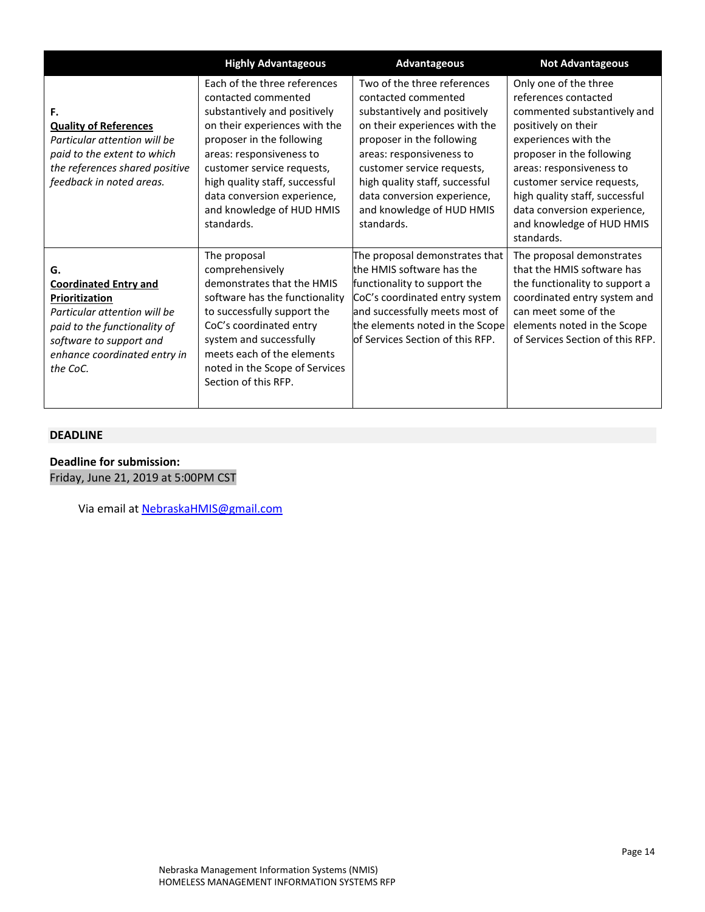|                                                                                                                                                                                             | <b>Highly Advantageous</b>                                                                                                                                                                                                                                                                                              | Advantageous                                                                                                                                                                                                                                                                                                           | <b>Not Advantageous</b>                                                                                                                                                                                                                                                                                                        |
|---------------------------------------------------------------------------------------------------------------------------------------------------------------------------------------------|-------------------------------------------------------------------------------------------------------------------------------------------------------------------------------------------------------------------------------------------------------------------------------------------------------------------------|------------------------------------------------------------------------------------------------------------------------------------------------------------------------------------------------------------------------------------------------------------------------------------------------------------------------|--------------------------------------------------------------------------------------------------------------------------------------------------------------------------------------------------------------------------------------------------------------------------------------------------------------------------------|
| F.<br><b>Quality of References</b><br>Particular attention will be<br>paid to the extent to which<br>the references shared positive<br>feedback in noted areas.                             | Each of the three references<br>contacted commented<br>substantively and positively<br>on their experiences with the<br>proposer in the following<br>areas: responsiveness to<br>customer service requests,<br>high quality staff, successful<br>data conversion experience,<br>and knowledge of HUD HMIS<br>standards. | Two of the three references<br>contacted commented<br>substantively and positively<br>on their experiences with the<br>proposer in the following<br>areas: responsiveness to<br>customer service requests,<br>high quality staff, successful<br>data conversion experience,<br>and knowledge of HUD HMIS<br>standards. | Only one of the three<br>references contacted<br>commented substantively and<br>positively on their<br>experiences with the<br>proposer in the following<br>areas: responsiveness to<br>customer service requests,<br>high quality staff, successful<br>data conversion experience,<br>and knowledge of HUD HMIS<br>standards. |
| G.<br><b>Coordinated Entry and</b><br>Prioritization<br>Particular attention will be<br>paid to the functionality of<br>software to support and<br>enhance coordinated entry in<br>the CoC. | The proposal<br>comprehensively<br>demonstrates that the HMIS<br>software has the functionality<br>to successfully support the<br>CoC's coordinated entry<br>system and successfully<br>meets each of the elements<br>noted in the Scope of Services<br>Section of this RFP.                                            | The proposal demonstrates that<br>the HMIS software has the<br>functionality to support the<br>CoC's coordinated entry system<br>and successfully meets most of<br>the elements noted in the Scope<br>lof Services Section of this RFP.                                                                                | The proposal demonstrates<br>that the HMIS software has<br>the functionality to support a<br>coordinated entry system and<br>can meet some of the<br>elements noted in the Scope<br>of Services Section of this RFP.                                                                                                           |

### **DEADLINE**

**Deadline for submission:** Friday, June 21, 2019 at 5:00PM CST

Via email at **NebraskaHMIS@gmail.com**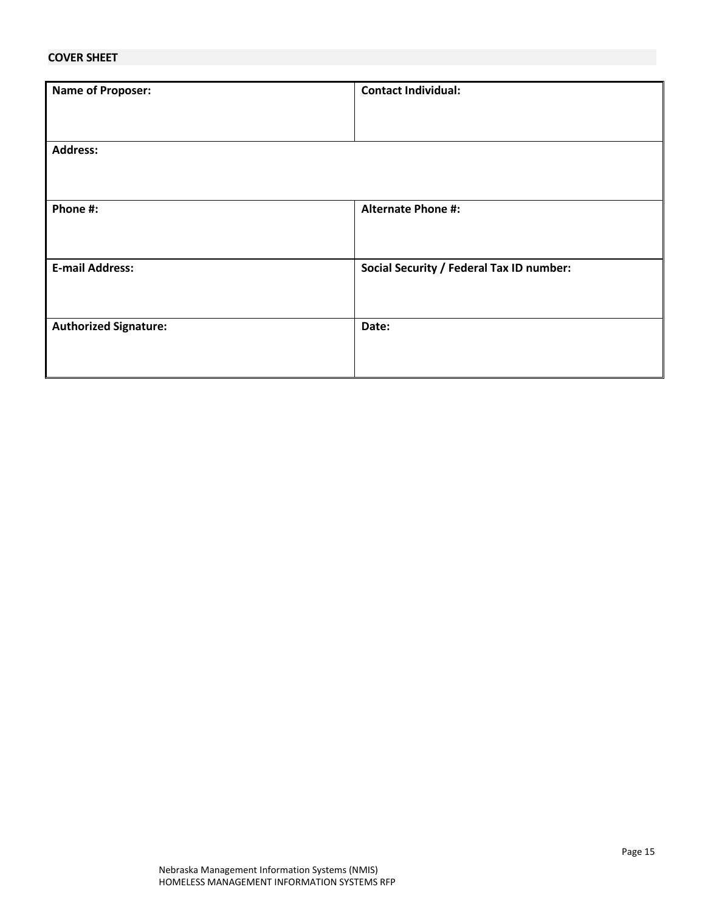## **COVER SHEET**

| <b>Name of Proposer:</b>     | <b>Contact Individual:</b>                      |
|------------------------------|-------------------------------------------------|
|                              |                                                 |
|                              |                                                 |
|                              |                                                 |
|                              |                                                 |
| <b>Address:</b>              |                                                 |
|                              |                                                 |
|                              |                                                 |
|                              |                                                 |
|                              |                                                 |
| Phone #:                     | <b>Alternate Phone #:</b>                       |
|                              |                                                 |
|                              |                                                 |
|                              |                                                 |
|                              |                                                 |
| <b>E-mail Address:</b>       | <b>Social Security / Federal Tax ID number:</b> |
|                              |                                                 |
|                              |                                                 |
|                              |                                                 |
| <b>Authorized Signature:</b> | Date:                                           |
|                              |                                                 |
|                              |                                                 |
|                              |                                                 |
|                              |                                                 |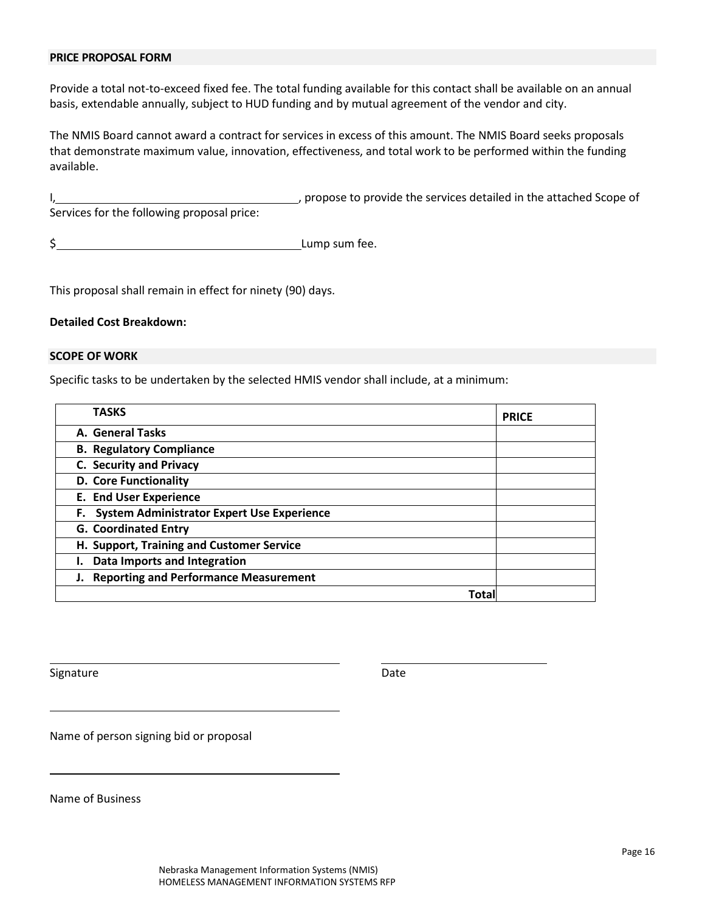### **PRICE PROPOSAL FORM**

Provide a total not-to-exceed fixed fee. The total funding available for this contact shall be available on an annual basis, extendable annually, subject to HUD funding and by mutual agreement of the vendor and city.

The NMIS Board cannot award a contract for services in excess of this amount. The NMIS Board seeks proposals that demonstrate maximum value, innovation, effectiveness, and total work to be performed within the funding available.

I, the services detailed in the attached Scope of Services for the following proposal price:

\$ Lump sum fee.

This proposal shall remain in effect for ninety (90) days.

### **Detailed Cost Breakdown:**

#### **SCOPE OF WORK**

Specific tasks to be undertaken by the selected HMIS vendor shall include, at a minimum:

| TASKS                                         | <b>PRICE</b> |
|-----------------------------------------------|--------------|
| A. General Tasks                              |              |
| <b>B. Regulatory Compliance</b>               |              |
| C. Security and Privacy                       |              |
| <b>D. Core Functionality</b>                  |              |
| <b>E. End User Experience</b>                 |              |
| F. System Administrator Expert Use Experience |              |
| <b>G. Coordinated Entry</b>                   |              |
| H. Support, Training and Customer Service     |              |
| Data Imports and Integration                  |              |
| J. Reporting and Performance Measurement      |              |
| Tota                                          |              |

Signature Date Date Date Date Date

Name of person signing bid or proposal

Name of Business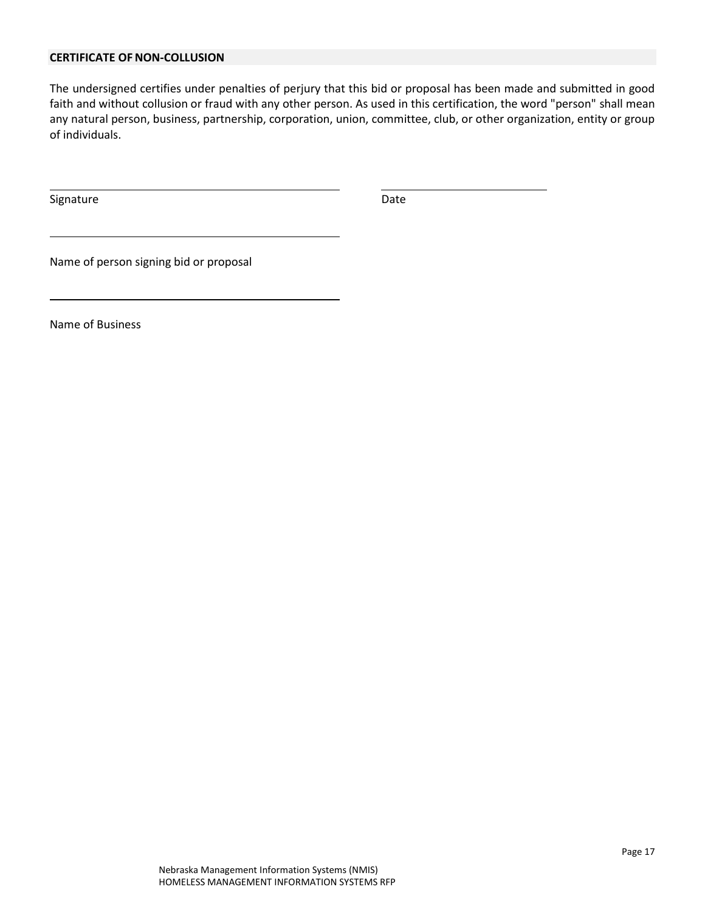# **CERTIFICATE OF NON-COLLUSION**

The undersigned certifies under penalties of perjury that this bid or proposal has been made and submitted in good faith and without collusion or fraud with any other person. As used in this certification, the word "person" shall mean any natural person, business, partnership, corporation, union, committee, club, or other organization, entity or group of individuals.

Signature Date Date Date

Name of person signing bid or proposal

Name of Business